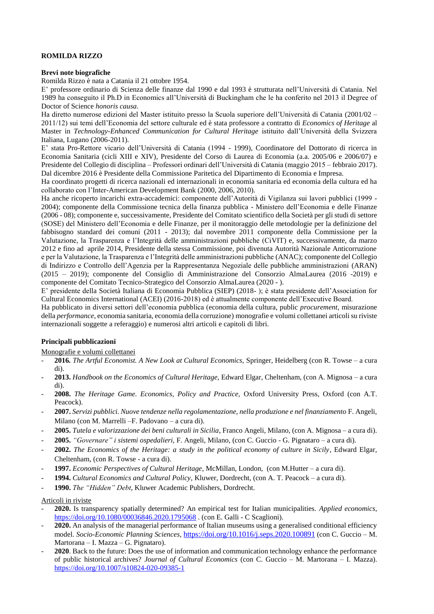# **ROMILDA RIZZO**

## **Brevi note biografiche**

Romilda Rizzo è nata a Catania il 21 ottobre 1954.

E' professore ordinario di Scienza delle finanze dal 1990 e dal 1993 è strutturata nell'Università di Catania. Nel 1989 ha conseguito il Ph.D in Economics all'Università di Buckingham che le ha conferito nel 2013 il Degree of Doctor of Science *honoris causa*.

Ha diretto numerose edizioni del Master istituito presso la Scuola superiore dell'Università di Catania (2001/02 – 2011/12) sui temi dell'Economia del settore culturale ed è stata professore a contratto di *Economics of Heritage* al Master in *Technology-Enhanced Communication for Cultural Heritage* istituito dall'Università della Svizzera Italiana, Lugano (2006-2011).

E' stata Pro-Rettore vicario dell'Università di Catania (1994 - 1999), Coordinatore del Dottorato di ricerca in Economia Sanitaria (cicli XIII e XIV), Presidente del Corso di Laurea di Economia (a.a. 2005/06 e 2006/07) e Presidente del Collegio di disciplina – Professori ordinari dell'Università di Catania (maggio 2015 – febbraio 2017). Dal dicembre 2016 è Presidente della Commissione Paritetica del Dipartimento di Economia e Impresa.

Ha coordinato progetti di ricerca nazionali ed internazionali in economia sanitaria ed economia della cultura ed ha collaborato con l'Inter-American Development Bank (2000, 2006, 2010).

Ha anche ricoperto incarichi extra-accademici: componente dell'Autorità di Vigilanza sui lavori pubblici (1999 - 2004); componente della Commissione tecnica della finanza pubblica - Ministero dell'Economia e delle Finanze (2006 - 08); componente e, successivamente, Presidente del Comitato scientifico della Società per gli studi di settore (SOSE) del Ministero dell'Economia e delle Finanze, per il monitoraggio delle metodologie per la definizione del fabbisogno standard dei comuni (2011 - 2013); dal novembre 2011 componente della Commissione per la Valutazione, la Trasparenza e l'Integrità delle amministrazioni pubbliche (CiVIT) e, successivamente, da marzo 2012 e fino ad aprile 2014, Presidente della stessa Commissione, poi divenuta Autorità Nazionale Anticorruzione e per la Valutazione, la Trasparenza e l'Integrità delle amministrazioni pubbliche (ANAC); componente del Collegio di Indirizzo e Controllo dell'Agenzia per la Rappresentanza Negoziale delle pubbliche amministrazioni (ARAN) (2015 – 2019); componente del Consiglio di Amministrazione del Consorzio AlmaLaurea (2016 -2019) e componente del Comitato Tecnico-Strategico del Consorzio AlmaLaurea (2020 - ).

E' presidente della Società Italiana di Economia Pubblica (SIEP) (2018- ); è stata presidente dell'Association for Cultural Economics International (ACEI) (2016-2018) ed è attualmente componente dell'Executive Board.

Ha pubblicato in diversi settori dell'economia pubblica (economia della cultura, public *procurement*, misurazione della *performance*, economia sanitaria, economia della corruzione) monografie e volumi collettanei articoli su riviste internazionali soggette a referaggio) e numerosi altri articoli e capitoli di libri.

## **Principali pubblicazioni**

Monografie e volumi collettanei

- **2016***. The Artful Economist. A New Look at Cultural Economics,* Springer, Heidelberg (con R. Towse a cura di).
- **2013.** *Handbook on the Economics of Cultural Heritage,* Edward Elgar, Cheltenham, (con A. Mignosa a cura di).
- **2008.** *The Heritage Game. Economics, Policy and Practice,* Oxford University Press, Oxford (con A.T. Peacock).
- **2007.** *Servizi pubblici. Nuove tendenze nella regolamentazione, nella produzione e nel finanziamento* F. Angeli, Milano (con M. Marrelli –F. Padovano – a cura di).
- **2005.** *Tutela e valorizzazione dei beni culturali in Sicilia*, Franco Angeli, Milano, (con A. Mignosa a cura di).
- **2005.** *"Governare" i sistemi ospedalieri,* F. Angeli, Milano, (con C. Guccio G. Pignataro a cura di).
- **2002.** *The Economics of the Heritage: a study in the political economy of culture in Sicily*, Edward Elgar, Cheltenham, (con R. Towse - a cura di).
- **1997.** *Economic Perspectives of Cultural Heritage*, McMillan, London, (con M.Hutter a cura di).
- **1994.** *Cultural Economics and Cultural Policy*, Kluwer, Dordrecht, (con A. T. Peacock a cura di).
- **1990.** *The "Hidden" Debt*, Kluwer Academic Publishers, Dordrecht.

## Articoli in riviste

- **2020.** Is transparency spatially determined? An empirical test for Italian municipalities. *Applied economics*, <https://doi.org/10.1080/00036846.2020.1795068> . (con E. Galli - C Scaglioni).
- **2020.** An analysis of the managerial performance of Italian museums using a generalised conditional efficiency model. *Socio-Economic Planning Sciences*, http[s://doi.org/10.1016/j.seps.2020.100891](https://doi.org/10.1016/j.seps.2020.100891) (con C. Guccio – M. Martorana – I. Mazza – G. Pignataro).
- **2020**. Back to the future: Does the use of information and communication technology enhance the performance of public historical archives? *Journal of Cultural Economics* (con C. Guccio – M. Martorana – I. Mazza). <https://doi.org/10.1007/s10824-020-09385-1>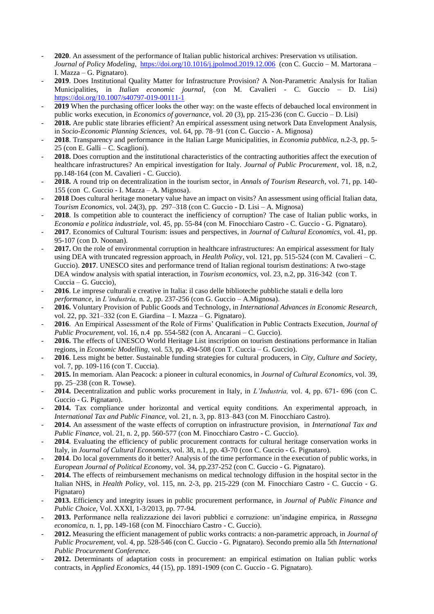- **2020**. An assessment of the performance of Italian public historical archives: Preservation vs utilisation. *Journal of Policy Modeling*,<https://doi.org/10.1016/j.jpolmod.2019.12.006>(con C. Guccio – M. Martorana – I. Mazza – G. Pignataro).
- **2019**. Does Institutional Quality Matter for Infrastructure Provision? A Non-Parametric Analysis for Italian Municipalities, in *Italian economic journal*, (con M. Cavalieri - C. Guccio – D. Lisi) <https://doi.org/10.1007/s40797-019-00111-1>
- 2019 When the purchasing officer looks the other way: on the waste effects of debauched local environment in public works execution, in *Economics of governance*, vol. 20 (3), pp. 215-236 (con C. Guccio – D. Lisi)
- 2018. Are public state libraries efficient? An empirical assessment using network Data Envelopment Analysis, in *Socio-Economic Planning Sciences*, vol. 64, pp. 78–91 (con C. Guccio - A. Mignosa)
- **2018**. Transparency and performance in the Italian Large Municipalities, in *Economia pubblica,* n.2-3*,* pp. 5- 25 (con E. Galli – C. Scaglioni).
- **2018.** Does corruption and the institutional characteristics of the contracting authorities affect the execution of healthcare infrastructures? An empirical investigation for Italy. *Journal of Public Procurement*, vol. 18, n.2, pp.148-164 (con M. Cavalieri - C. Guccio).
- **2018.** A round trip on decentralization in the tourism sector, in *Annals of Tourism Research*, vol. 71, pp. 140- 155 (con C. Guccio - I. Mazza – A. Mignosa).
- **2018** Does cultural heritage monetary value have an impact on visits? An assessment using official Italian data, *Tourism Economics,* vol. 24(3), pp. 297–318 (con C. Guccio - D. Lisi – A. Mignosa)
- **2018**. Is competition able to counteract the inefficiency of corruption? The case of Italian public works, in *Economia e politica industriale*, vol. 45, pp. 55-84 (con M. Finocchiaro Castro - C. Guccio - G. Pignataro).
- **2017**. Economics of Cultural Tourism: issues and perspectives, in *Journal of Cultural Economics*, vol. 41, pp. 95-107 (con D. Noonan).
- **2017.** On the role of environmental corruption in healthcare infrastructures: An empirical assessment for Italy using DEA with truncated regression approach, in *Health Policy*, vol. 121, pp. 515-524 (con M. Cavalieri – C. Guccio). **2017**. UNESCO sites and performance trend of Italian regional tourism destinations: A two-stage DEA window analysis with spatial interaction, in *Tourism economics,* vol. 23, n.2, pp. 316-342(con T. Cuccia – G. Guccio),
- **2016**. Le imprese culturali e creative in Italia: il caso delle biblioteche pubbliche statali e della loro *performance*, in *L'industria,* n. 2, pp. 237-256 (con G. Guccio – A.Mignosa).
- **2016.** Voluntary Provision of Public Goods and Technology, in *International Advances in Economic Research*, vol. 22, pp. 321–332 (con E. Giardina – I. Mazza – G. Pignataro).
- **2016**. An Empirical Assessment of the Role of Firms' Qualification in Public Contracts Execution, *Journal of Public Procurement,* vol. 16, n.4 pp. 554-582 (con A. Ancarani – C. Guccio).
- 2016. The effects of UNESCO World Heritage List inscription on tourism destinations performance in Italian regions, in *Economic Modelling,* vol. 53, pp. 494-508 (con T. Cuccia – G. Guccio).
- **2016**. Less might be better. Sustainable funding strategies for cultural producers, in *City, Culture and Society,* vol. 7, pp. 109-116 (con T. Cuccia).
- **2015.** In memoriam. Alan Peacock: a pioneer in cultural economics, in *Journal of Cultural Economics,* vol. 39, pp. 25–238 (con R. Towse).
- **2014.** Decentralization and public works procurement in Italy, in *L'Industria,* vol. 4, pp. 671- 696 (con C. Guccio - G. Pignataro).
- **2014.** Tax compliance under horizontal and vertical equity conditions. An experimental approach, in *International Tax and Public Finance,* vol. 21, n. 3, pp. 813–843 (con M. Finocchiaro Castro).
- **2014.** An assessment of the waste effects of corruption on infrastructure provision, in *International Tax and Public Finance, vol.* 21, n. 2, pp. 560-577 (con M. Finocchiaro Castro - C. Guccio).
- **2014**. Evaluating the efficiency of public procurement contracts for cultural heritage conservation works in Italy, in *Journal of Cultural Economics,* vol. 38, n.1, pp. 43-70 (con C. Guccio - G. Pignataro).
- **2014**. Do local governments do it better? Analysis of the time performance in the execution of public works, in *European Journal of Political Economy*, vol. 34, pp.237-252 (con C. Guccio - G. Pignataro).
- **2014.** The effects of reimbursement mechanisms on medical technology diffusion in the hospital sector in the Italian NHS, in *Health Policy*, vol. 115, nn. 2-3, pp. 215-229 (con M. Finocchiaro Castro - C. Guccio - G. Pignataro)
- **2013.** Efficiency and integrity issues in public procurement performance, in *Journal of Public Finance and Public Choice,* Vol. XXXI, 1-3/2013, pp. 77-94.
- **2013.** Performance nella realizzazione dei lavori pubblici e corruzione: un'indagine empirica, in *Rassegna economica,* n. 1, pp. 149-168 (con M. Finocchiaro Castro - C. Guccio).
- **2012.** Measuring the efficient management of public works contracts: a non-parametric approach, in *Journal of Public Procurement,* vol. 4, pp. 528-546 (con C. Guccio - G. Pignataro). Secondo premio alla 5th *International Public Procurement Conference.*
- **2012.** Determinants of adaptation costs in procurement: an empirical estimation on Italian public works contracts, in *Applied Economics*, 44 (15), pp. 1891-1909 (con C. Guccio - G. Pignataro).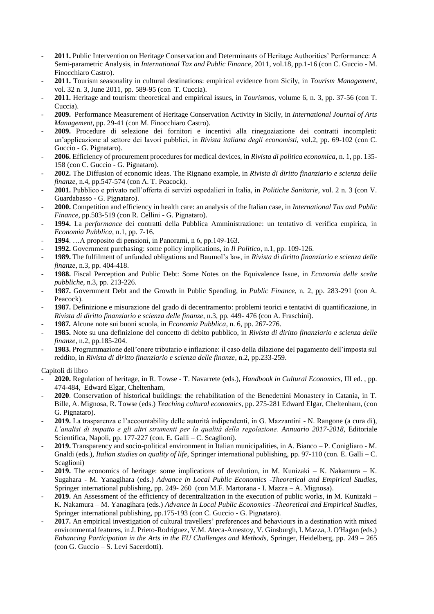- **2011.** Public Intervention on Heritage Conservation and Determinants of Heritage Authorities' Performance: A Semi-parametric Analysis, in *International Tax and Public Finance,* 2011, vol.18, pp.1-16 (con C. Guccio - M. Finocchiaro Castro).
- **2011.** Tourism seasonality in cultural destinations: empirical evidence from Sicily, in *Tourism Management*, vol. 32 n. 3, June 2011, pp. 589-95 (con T. Cuccia).
- **2011.** Heritage and tourism: theoretical and empirical issues, in *Tourismos,* volume 6, n. 3, pp. 37-56 (con T. Cuccia).
- **2009.** Performance Measurement of Heritage Conservation Activity in Sicily, in *International Journal of Arts Management*, pp. 29-41 (con M. Finocchiaro Castro).
- **2009.** Procedure di selezione dei fornitori e incentivi alla rinegoziazione dei contratti incompleti: un'applicazione al settore dei lavori pubblici, in *Rivista italiana degli economisti,* vol.2, pp. 69-102 (con C. Guccio - G. Pignataro).
- **2006.** Efficiency of procurement procedures for medical devices, in *Rivista di politica economica,* n. 1, pp. 135- 158 (con C. Guccio - G. Pignataro).
- **2002.** The Diffusion of economic ideas. The Rignano example, in *Rivista di diritto finanziario e scienza delle finanze,* n.4, pp.547-574 (con A. T. Peacock).
- **2001.** Pubblico e privato nell'offerta di servizi ospedalieri in Italia, in *Politiche Sanitarie,* vol. 2 n. 3 (con V. Guardabasso - G. Pignataro).
- **2000.** Competition and efficiency in health care: an analysis of the Italian case, in *International Tax and Public Finance,* pp.503-519 (con R. Cellini - G. Pignataro).
- **1994.** La *performance* dei contratti della Pubblica Amministrazione: un tentativo di verifica empirica, in *Economia Pubblica*, n.1, pp. 7-16.
- **1994**. …A proposito di pensioni, in Panorami, n 6, pp.149-163.
- **1992.** Government purchasing: some policy implications, in *Il Politico*, n.1, pp. 109-126.
- **1989.** The fulfilment of unfunded obligations and Baumol's law, in *Rivista di diritto finanziario e scienza delle finanze*, n.3, pp. 404-418.
- **1988.** Fiscal Perception and Public Debt: Some Notes on the Equivalence Issue*,* in *Economia delle scelte pubbliche*, n.3, pp. 213-226.
- **1987.** Government Debt and the Growth in Public Spending, in *Public Finance*, n. 2, pp. 283-291 (con A. Peacock).
- **1987.** Definizione e misurazione del grado di decentramento: problemi teorici e tentativi di quantificazione, in *Rivista di diritto finanziario e scienza delle finanze*, n.3, pp. 449- 476 (con A. Fraschini).
- **1987***.* Alcune note sui buoni scuola, in *Economia Pubblica*, n. 6, pp. 267-276.
- **1985.** Note su una definizione del concetto di debito pubblico, in *Rivista di diritto finanziario e scienza delle finanze*, n.2, pp.185-204.
- **1983.** Programmazione dell'onere tributario e inflazione: il caso della dilazione del pagamento dell'imposta sul reddito, in *Rivista di diritto finanziario e scienza delle finanze*, n.2, pp.233-259.

## Capitoli di libro

- **2020.** Regulation of heritage, in R. Towse T. Navarrete (eds.), *Handbook in Cultural Economics*, III ed. , pp. 474-484, Edward Elgar, Cheltenham,
- **2020**. Conservation of historical buildings: the rehabilitation of the Benedettini Monastery in Catania, in T. Bille, A. Mignosa, R. Towse (eds.) *Teaching cultural economics,* pp. 275-281 Edward Elgar, Cheltenham, (con G. Pignataro).
- **2019.** La trasparenza e l'accountability delle autorità indipendenti, in G. Mazzantini N. Rangone (a cura di), *L'analisi di impatto e gli altri strumenti per la qualità della regolazione. Annuario 2017-2018*, Editoriale Scientifica, Napoli, pp. 177-227 (con. E. Galli – C. Scaglioni).
- **2019.** Transparency and socio-political environment in Italian municipalities, in A. Bianco P. Conigliaro M. Gnaldi (eds.), *Italian studies on quality of life*, Springer international publishing, pp. 97-110 (con. E. Galli – C. Scaglioni)
- **2019.** The economics of heritage: some implications of devolution, in M. Kunizaki K. Nakamura K. Sugahara - M. Yanagihara (eds.) *Advance in Local Public Economics -Theoretical and Empirical Studies*, Springer international publishing, pp. 249- 260 (con M.F. Martorana - I. Mazza – A. Mignosa).
- **2019.** An Assessment of the efficiency of decentralization in the execution of public works, in M. Kunizaki K. Nakamura – M. Yanagihara (eds.) *Advance in Local Public Economics -Theoretical and Empirical Studies*, Springer international publishing, pp.175-193 (con C. Guccio - G. Pignataro).
- **2017.** An empirical investigation of cultural travellers' preferences and behaviours in a destination with mixed environmental features, in J. Prieto-Rodriguez, V.M. Ateca-Amestoy, V. Ginsburgh, I. Mazza, J. O'Hagan (eds.) *Enhancing Participation in the Arts in the EU Challenges and Methods,* Springer, Heidelberg, pp. 249 – 265 (con G. Guccio – S. Levi Sacerdotti).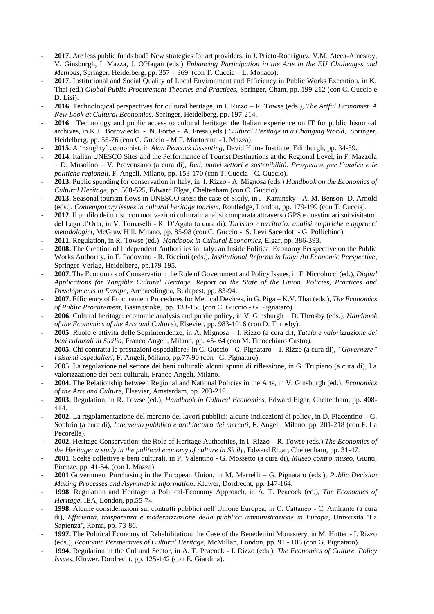- **2017.** Are less public funds bad? New strategies for art providers, in J. Prieto-Rodriguez, V.M. Ateca-Amestoy, V. Ginsburgh, I. Mazza, J. O'Hagan (eds.) *Enhancing Participation in the Arts in the EU Challenges and Methods,* Springer, Heidelberg, pp. 357 – 369 (con T. Cuccia – L. Monaco).
- 2017. Institutional and Social Quality of Local Environment and Efficiency in Public Works Execution, in K. Thai (ed.) *Global Public Procurement Theories and Practices,* Springer, Cham, pp. 199-212 (con C. Guccio e D. Lisi).
- **2016**. Technological perspectives for cultural heritage, in I. Rizzo R. Towse (eds.), *The Artful Economist. A New Look at Cultural Economics,* Springer, Heidelberg, pp. 197-214.
- **2016**. Technology and public access to cultural heritage: the Italian experience on IT for public historical archives, in K.J. Borowiecki - N. Forbe - A. Fresa (eds.) *Cultural Heritage in a Changing World*, Springer, Heidelberg, pp. 55-76 (con C. Guccio - M.F. Martorana - I. Mazza).
- **2015.** A 'naughty' economist, in *Alan Peacock dissenting*, David Hume Institute, Edinburgh, pp. 34-39.
- **2014.** Italian UNESCO Sites and the Performance of Tourist Destinations at the Regional Level, in F. Mazzola – D. Musolino – V. Provenzano (a cura di), *Reti, nuovi settori e sostenibilità. Prospettive per l'analisi e le politiche regionali,* F. Angeli, Milano, pp. 153-170 (con T. Cuccia - C. Guccio).
- **2013.** Public spending for conservation in Italy**,** in I. Rizzo A. Mignosa (eds.) *Handbook on the Economics of Cultural Heritage,* pp. 508-525, Edward Elgar, Cheltenham (con C. Guccio).
- **2013.** Seasonal tourism flows in UNESCO sites: the case of Sicily, in J. Kaminsky A. M. Benson -D. Arnold (eds.), *Contemporary issues in cultural heritage tourism,* Routledge, London, pp. 179-199 (con T. Cuccia).
- **2012.** Il profilo dei turisti con motivazioni culturali: analisi comparata attraverso GPS e questionari sui visitatori del Lago d'Orta, in V. Tomaselli - R. D'Agata (a cura di), *Turismo e territorio: analisi empiriche e approcci metodologici*, McGraw Hill, Milano, pp. 85-98 (con C. Guccio - S. Levi Sacerdoti - G. Pollichino).
- **2011.** Regulation, in R. Towse (ed.), *Handbook in Cultural Economics,* Elgar, pp. 386-393.
- **2008.** The Creation of Independent Authorities in Italy: an Inside Political Economy Perspective on the Public Works Authority, in F. Padovano - R. Ricciuti (eds.), *Institutional Reforms in Italy: An Economic Perspective*, Springer-Verlag, Heidelberg, pp.179-195.
- **2007.** The Economics of Conservation: the Role of Government and Policy Issues, in F. Niccolucci (ed.), *Digital Applications for Tangible Cultural Heritage. Report on the State of the Union. Policies, Practices and Developments in Europe*, Archaeolingua, Budapest, pp. 83-94.
- **2007.** Efficiency of Procurement Procedures for Medical Devices, in G. Piga K.V. Thai (eds.), *The Economics of Public Procurement,* Basingstoke, pp. 133-158 (con C. Guccio - G. Pignataro).
- **2006***.* Cultural heritage: economic analysis and public policy, in V. Ginsburgh D. Throsby (eds.), *Handbook of the Economics of the Arts and Culture*), Elsevier, pp. 983-1016 (con D. Throsby).
- **2005**. Ruolo e attività delle Soprintendenze, in A. Mignosa I. Rizzo (a cura di), *Tutela e valorizzazione dei beni culturali in Sicilia*, Franco Angeli, Milano, pp. 45- 64 (con M. Finocchiaro Castro).
- **2005.** Chi contratta le prestazioni ospedaliere? in C. Guccio G. Pignataro I. Rizzo (a cura di), *"Governare" i sistemi ospedalieri,* F. Angeli, Milano, pp.77-90 (con G. Pignataro).
- 2005. La regolazione nel settore dei beni culturali: alcuni spunti di riflessione, in G. Trupiano (a cura di), La valorizzazione dei beni culturali, Franco Angeli, Milano.
- **2004.** The Relationship between Regional and National Policies in the Arts, in V. Ginsburgh (ed.), *Economics of the Arts and Culture*, Elsevier, Amsterdam, pp. 203-219.
- **2003.** Regulation, in R. Towse (ed.), *Handbook in Cultural Economics,* Edward Elgar, Cheltenham, pp. 408- 414.
- **2002.** La regolamentazione del mercato dei lavori pubblici: alcune indicazioni di policy*,* in D. Piacentino G. Sobbrio (a cura di), *Intervento pubblico e architettura dei mercati,* F. Angeli, Milano, pp. 201-218 (con F. La Pecorella).
- **2002.** Heritage Conservation: the Role of Heritage Authorities, in I. Rizzo R. Towse (eds.) *The Economics of the Heritage: a study in the political economy of culture in Sicily*, Edward Elgar, Cheltenham, pp. 31-47.
- **2001***.* Scelte collettive e beni culturali, in P. Valentino G. Mossetto (a cura di), *Museo contro museo*, Giunti, Firenze, pp. 41-54, (con I. Mazza).
- **2001**.Government Purchasing in the European Union, in M. Marrelli G. Pignataro (eds.), *Public Decision Making Processes and Asymmetric Information*, Kluwer, Dordrecht, pp. 147-164.
- **1998**. Regulation and Heritage: a Political-Economy Approach, in A. T. Peacock (ed.), *The Economics of Heritage*, IEA, London, pp.55-74.
- **1998.** Alcune considerazioni sui contratti pubblici nell'Unione Europea, in C. Cattaneo C. Amirante (a cura di), *Efficienza, trasparenza e modernizzazione della pubblica amministrazione in Europa*, Università 'La Sapienza', Roma, pp. 73-86.
- 1997. The Political Economy of Rehabilitation: the Case of the Benedettini Monastery, in M. Hutter I. Rizzo (eds.), *Economic Perspectives of Cultural Heritage*, McMillan, London, pp. 91 - 106 (con G. Pignataro).
- **1994.** Regulation in the Cultural Sector, in A. T. Peacock I. Rizzo (eds.), *The Economics of Culture. Policy Issues*, Kluwer, Dordrecht, pp. 125-142 (con E. Giardina).